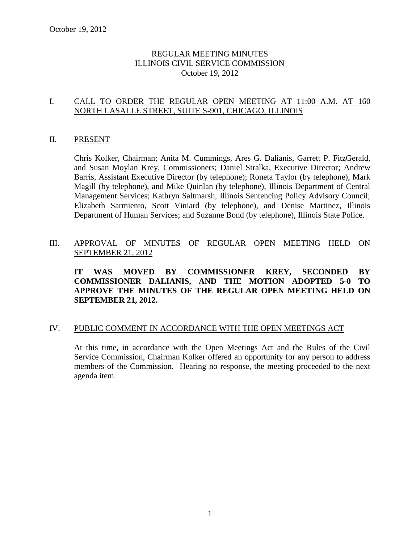# REGULAR MEETING MINUTES ILLINOIS CIVIL SERVICE COMMISSION October 19, 2012

# I. CALL TO ORDER THE REGULAR OPEN MEETING AT 11:00 A.M. AT 160 NORTH LASALLE STREET, SUITE S-901, CHICAGO, ILLINOIS

## II. PRESENT

Chris Kolker, Chairman; Anita M. Cummings, Ares G. Dalianis, Garrett P. FitzGerald, and Susan Moylan Krey, Commissioners; Daniel Stralka, Executive Director; Andrew Barris, Assistant Executive Director (by telephone); Roneta Taylor (by telephone), Mark Magill (by telephone), and Mike Quinlan (by telephone), Illinois Department of Central Management Services; Kathryn Saltmarsh, Illinois Sentencing Policy Advisory Council; Elizabeth Sarmiento, Scott Viniard (by telephone), and Denise Martinez, Illinois Department of Human Services; and Suzanne Bond (by telephone), Illinois State Police.

# III. APPROVAL OF MINUTES OF REGULAR OPEN MEETING HELD ON SEPTEMBER 21, 2012

**IT WAS MOVED BY COMMISSIONER KREY, SECONDED BY COMMISSIONER DALIANIS, AND THE MOTION ADOPTED 5-0 TO APPROVE THE MINUTES OF THE REGULAR OPEN MEETING HELD ON SEPTEMBER 21, 2012.** 

## IV. PUBLIC COMMENT IN ACCORDANCE WITH THE OPEN MEETINGS ACT

At this time, in accordance with the Open Meetings Act and the Rules of the Civil Service Commission, Chairman Kolker offered an opportunity for any person to address members of the Commission. Hearing no response, the meeting proceeded to the next agenda item.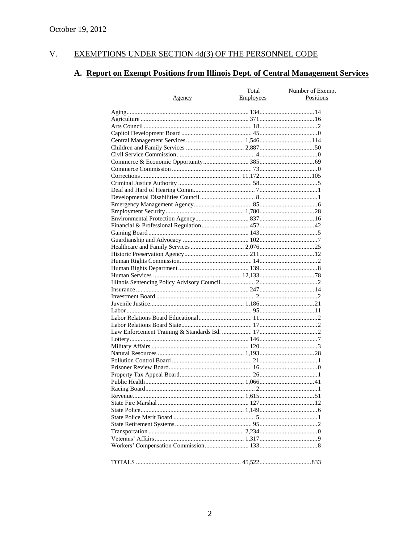#### EXEMPTIONS UNDER SECTION 4d(3) OF THE PERSONNEL CODE  $V<sub>r</sub>$

# A. Report on Exempt Positions from Illinois Dept. of Central Management Services

|               | Total            | Number of Exempt |
|---------------|------------------|------------------|
| <u>Agency</u> | <b>Employees</b> | Positions        |
|               |                  |                  |
|               |                  |                  |
|               |                  |                  |
|               |                  |                  |
|               |                  |                  |
|               |                  |                  |
|               |                  |                  |
|               |                  |                  |
|               |                  |                  |
|               |                  |                  |
|               |                  |                  |
|               |                  |                  |
|               |                  |                  |
|               |                  |                  |
|               |                  |                  |
|               |                  |                  |
|               |                  |                  |
|               |                  |                  |
|               |                  |                  |
|               |                  |                  |
|               |                  |                  |
|               |                  |                  |
|               |                  |                  |
|               |                  |                  |
|               |                  |                  |
|               |                  |                  |
|               |                  |                  |
|               |                  |                  |
|               |                  |                  |
|               |                  |                  |
|               |                  |                  |
|               |                  |                  |
|               |                  |                  |
|               |                  |                  |
|               |                  |                  |
|               |                  |                  |
|               |                  |                  |
|               |                  |                  |
|               |                  |                  |
|               |                  |                  |
|               |                  |                  |
|               |                  |                  |
|               |                  |                  |
|               |                  |                  |
|               |                  |                  |
|               |                  |                  |
|               |                  |                  |
|               |                  |                  |
|               |                  |                  |
|               |                  |                  |
|               |                  |                  |
|               |                  |                  |
|               |                  |                  |
|               |                  |                  |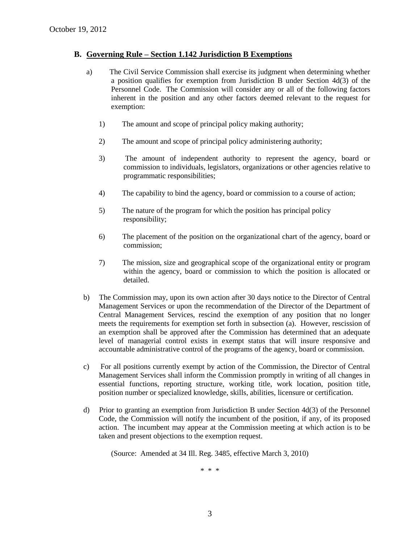## **B. Governing Rule – Section 1.142 Jurisdiction B Exemptions**

- a) The Civil Service Commission shall exercise its judgment when determining whether a position qualifies for exemption from Jurisdiction B under Section 4d(3) of the Personnel Code. The Commission will consider any or all of the following factors inherent in the position and any other factors deemed relevant to the request for exemption:
	- 1) The amount and scope of principal policy making authority;
	- 2) The amount and scope of principal policy administering authority;
	- 3) The amount of independent authority to represent the agency, board or commission to individuals, legislators, organizations or other agencies relative to programmatic responsibilities;
	- 4) The capability to bind the agency, board or commission to a course of action;
	- 5) The nature of the program for which the position has principal policy responsibility;
	- 6) The placement of the position on the organizational chart of the agency, board or commission;
	- 7) The mission, size and geographical scope of the organizational entity or program within the agency, board or commission to which the position is allocated or detailed.
- b) The Commission may, upon its own action after 30 days notice to the Director of Central Management Services or upon the recommendation of the Director of the Department of Central Management Services, rescind the exemption of any position that no longer meets the requirements for exemption set forth in subsection (a). However, rescission of an exemption shall be approved after the Commission has determined that an adequate level of managerial control exists in exempt status that will insure responsive and accountable administrative control of the programs of the agency, board or commission.
- c) For all positions currently exempt by action of the Commission, the Director of Central Management Services shall inform the Commission promptly in writing of all changes in essential functions, reporting structure, working title, work location, position title, position number or specialized knowledge, skills, abilities, licensure or certification.
- d) Prior to granting an exemption from Jurisdiction B under Section 4d(3) of the Personnel Code, the Commission will notify the incumbent of the position, if any, of its proposed action. The incumbent may appear at the Commission meeting at which action is to be taken and present objections to the exemption request.

(Source: Amended at 34 Ill. Reg. 3485, effective March 3, 2010)

\* \* \*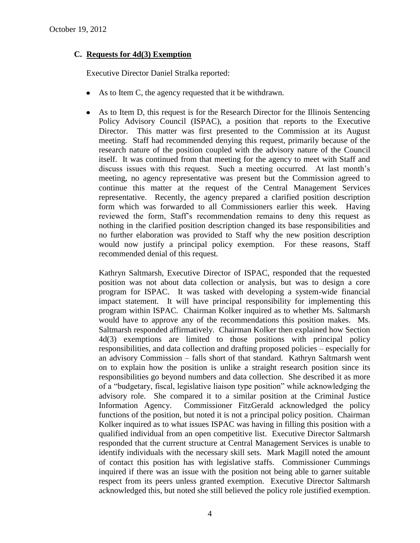# **C. Requests for 4d(3) Exemption**

Executive Director Daniel Stralka reported:

- As to Item C, the agency requested that it be withdrawn.
- As to Item D, this request is for the Research Director for the Illinois Sentencing Policy Advisory Council (ISPAC), a position that reports to the Executive Director. This matter was first presented to the Commission at its August meeting. Staff had recommended denying this request, primarily because of the research nature of the position coupled with the advisory nature of the Council itself. It was continued from that meeting for the agency to meet with Staff and discuss issues with this request. Such a meeting occurred. At last month's meeting, no agency representative was present but the Commission agreed to continue this matter at the request of the Central Management Services representative. Recently, the agency prepared a clarified position description form which was forwarded to all Commissioners earlier this week. Having reviewed the form, Staff's recommendation remains to deny this request as nothing in the clarified position description changed its base responsibilities and no further elaboration was provided to Staff why the new position description would now justify a principal policy exemption. For these reasons, Staff recommended denial of this request.

Kathryn Saltmarsh, Executive Director of ISPAC, responded that the requested position was not about data collection or analysis, but was to design a core program for ISPAC. It was tasked with developing a system-wide financial impact statement. It will have principal responsibility for implementing this program within ISPAC. Chairman Kolker inquired as to whether Ms. Saltmarsh would have to approve any of the recommendations this position makes. Ms. Saltmarsh responded affirmatively. Chairman Kolker then explained how Section 4d(3) exemptions are limited to those positions with principal policy responsibilities, and data collection and drafting proposed policies – especially for an advisory Commission – falls short of that standard. Kathryn Saltmarsh went on to explain how the position is unlike a straight research position since its responsibilities go beyond numbers and data collection. She described it as more of a "budgetary, fiscal, legislative liaison type position" while acknowledging the advisory role. She compared it to a similar position at the Criminal Justice Information Agency. Commissioner FitzGerald acknowledged the policy functions of the position, but noted it is not a principal policy position. Chairman Kolker inquired as to what issues ISPAC was having in filling this position with a qualified individual from an open competitive list. Executive Director Saltmarsh responded that the current structure at Central Management Services is unable to identify individuals with the necessary skill sets. Mark Magill noted the amount of contact this position has with legislative staffs. Commissioner Cummings inquired if there was an issue with the position not being able to garner suitable respect from its peers unless granted exemption. Executive Director Saltmarsh acknowledged this, but noted she still believed the policy role justified exemption.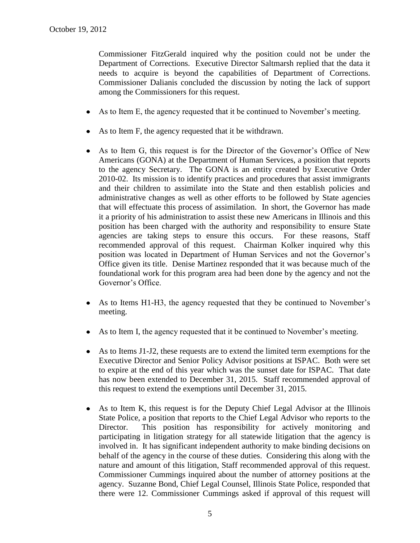Commissioner FitzGerald inquired why the position could not be under the Department of Corrections. Executive Director Saltmarsh replied that the data it needs to acquire is beyond the capabilities of Department of Corrections. Commissioner Dalianis concluded the discussion by noting the lack of support among the Commissioners for this request.

- As to Item E, the agency requested that it be continued to November's meeting.
- As to Item F, the agency requested that it be withdrawn.
- As to Item G, this request is for the Director of the Governor's Office of New Americans (GONA) at the Department of Human Services, a position that reports to the agency Secretary. The GONA is an entity created by Executive Order 2010-02. Its mission is to identify practices and procedures that assist immigrants and their children to assimilate into the State and then establish policies and administrative changes as well as other efforts to be followed by State agencies that will effectuate this process of assimilation. In short, the Governor has made it a priority of his administration to assist these new Americans in Illinois and this position has been charged with the authority and responsibility to ensure State agencies are taking steps to ensure this occurs. For these reasons, Staff recommended approval of this request. Chairman Kolker inquired why this position was located in Department of Human Services and not the Governor's Office given its title. Denise Martinez responded that it was because much of the foundational work for this program area had been done by the agency and not the Governor's Office.
- As to Items H1-H3, the agency requested that they be continued to November's  $\bullet$ meeting.
- As to Item I, the agency requested that it be continued to November's meeting.
- As to Items J1-J2, these requests are to extend the limited term exemptions for the Executive Director and Senior Policy Advisor positions at ISPAC. Both were set to expire at the end of this year which was the sunset date for ISPAC. That date has now been extended to December 31, 2015. Staff recommended approval of this request to extend the exemptions until December 31, 2015.
- As to Item K, this request is for the Deputy Chief Legal Advisor at the Illinois State Police, a position that reports to the Chief Legal Advisor who reports to the Director. This position has responsibility for actively monitoring and participating in litigation strategy for all statewide litigation that the agency is involved in. It has significant independent authority to make binding decisions on behalf of the agency in the course of these duties. Considering this along with the nature and amount of this litigation, Staff recommended approval of this request. Commissioner Cummings inquired about the number of attorney positions at the agency. Suzanne Bond, Chief Legal Counsel, Illinois State Police, responded that there were 12. Commissioner Cummings asked if approval of this request will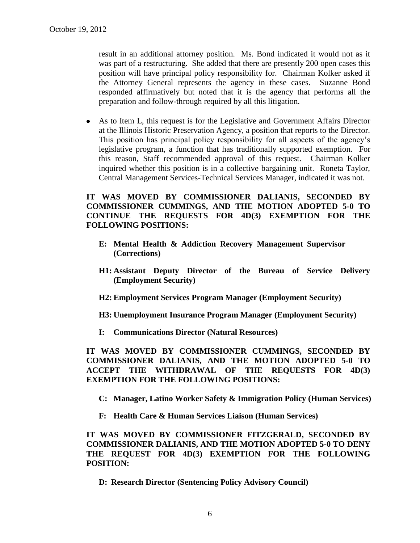result in an additional attorney position. Ms. Bond indicated it would not as it was part of a restructuring. She added that there are presently 200 open cases this position will have principal policy responsibility for. Chairman Kolker asked if the Attorney General represents the agency in these cases. Suzanne Bond responded affirmatively but noted that it is the agency that performs all the preparation and follow-through required by all this litigation.

As to Item L, this request is for the Legislative and Government Affairs Director at the Illinois Historic Preservation Agency, a position that reports to the Director. This position has principal policy responsibility for all aspects of the agency's legislative program, a function that has traditionally supported exemption. For this reason, Staff recommended approval of this request. Chairman Kolker inquired whether this position is in a collective bargaining unit. Roneta Taylor, Central Management Services-Technical Services Manager, indicated it was not.

# **IT WAS MOVED BY COMMISSIONER DALIANIS, SECONDED BY COMMISSIONER CUMMINGS, AND THE MOTION ADOPTED 5-0 TO CONTINUE THE REQUESTS FOR 4D(3) EXEMPTION FOR THE FOLLOWING POSITIONS:**

- **E: Mental Health & Addiction Recovery Management Supervisor (Corrections)**
- **H1: Assistant Deputy Director of the Bureau of Service Delivery (Employment Security)**
- **H2: Employment Services Program Manager (Employment Security)**
- **H3: Unemployment Insurance Program Manager (Employment Security)**
- **I: Communications Director (Natural Resources)**

**IT WAS MOVED BY COMMISSIONER CUMMINGS, SECONDED BY COMMISSIONER DALIANIS, AND THE MOTION ADOPTED 5-0 TO ACCEPT THE WITHDRAWAL OF THE REQUESTS FOR 4D(3) EXEMPTION FOR THE FOLLOWING POSITIONS:**

- **C: Manager, Latino Worker Safety & Immigration Policy (Human Services)**
- **F: Health Care & Human Services Liaison (Human Services)**

**IT WAS MOVED BY COMMISSIONER FITZGERALD, SECONDED BY COMMISSIONER DALIANIS, AND THE MOTION ADOPTED 5-0 TO DENY THE REQUEST FOR 4D(3) EXEMPTION FOR THE FOLLOWING POSITION:**

**D: Research Director (Sentencing Policy Advisory Council)**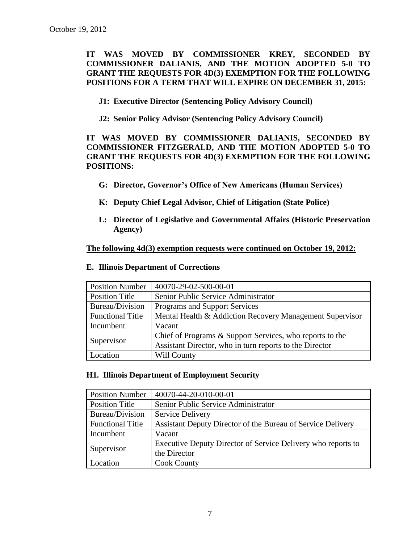**IT WAS MOVED BY COMMISSIONER KREY, SECONDED BY COMMISSIONER DALIANIS, AND THE MOTION ADOPTED 5-0 TO GRANT THE REQUESTS FOR 4D(3) EXEMPTION FOR THE FOLLOWING POSITIONS FOR A TERM THAT WILL EXPIRE ON DECEMBER 31, 2015:**

- **J1: Executive Director (Sentencing Policy Advisory Council)**
- **J2: Senior Policy Advisor (Sentencing Policy Advisory Council)**

# **IT WAS MOVED BY COMMISSIONER DALIANIS, SECONDED BY COMMISSIONER FITZGERALD, AND THE MOTION ADOPTED 5-0 TO GRANT THE REQUESTS FOR 4D(3) EXEMPTION FOR THE FOLLOWING POSITIONS:**

- **G: Director, Governor's Office of New Americans (Human Services)**
- **K: Deputy Chief Legal Advisor, Chief of Litigation (State Police)**
- **L: Director of Legislative and Governmental Affairs (Historic Preservation Agency)**

**The following 4d(3) exemption requests were continued on October 19, 2012:**

| <b>Position Number</b>  | 40070-29-02-500-00-01                                    |
|-------------------------|----------------------------------------------------------|
| <b>Position Title</b>   | Senior Public Service Administrator                      |
| Bureau/Division         | Programs and Support Services                            |
| <b>Functional Title</b> | Mental Health & Addiction Recovery Management Supervisor |
| Incumbent               | Vacant                                                   |
| Supervisor              | Chief of Programs & Support Services, who reports to the |
|                         | Assistant Director, who in turn reports to the Director  |
| Location                | Will County                                              |

#### **E. Illinois Department of Corrections**

## **H1. Illinois Department of Employment Security**

| <b>Position Number</b>  | 40070-44-20-010-00-01                                        |
|-------------------------|--------------------------------------------------------------|
| Position Title          | Senior Public Service Administrator                          |
| Bureau/Division         | Service Delivery                                             |
| <b>Functional Title</b> | Assistant Deputy Director of the Bureau of Service Delivery  |
| Incumbent               | Vacant                                                       |
| Supervisor              | Executive Deputy Director of Service Delivery who reports to |
|                         | the Director                                                 |
| Location                | <b>Cook County</b>                                           |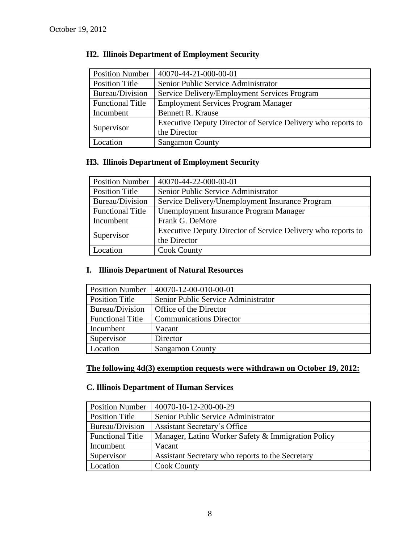| <b>Position Number</b>  | 40070-44-21-000-00-01                                        |
|-------------------------|--------------------------------------------------------------|
| <b>Position Title</b>   | Senior Public Service Administrator                          |
| Bureau/Division         | Service Delivery/Employment Services Program                 |
| <b>Functional Title</b> | <b>Employment Services Program Manager</b>                   |
| Incumbent               | <b>Bennett R. Krause</b>                                     |
| Supervisor              | Executive Deputy Director of Service Delivery who reports to |
|                         | the Director                                                 |
| Location                | <b>Sangamon County</b>                                       |

# **H2. Illinois Department of Employment Security**

# **H3. Illinois Department of Employment Security**

| <b>Position Number</b>  | 40070-44-22-000-00-01                                        |
|-------------------------|--------------------------------------------------------------|
| <b>Position Title</b>   | Senior Public Service Administrator                          |
| Bureau/Division         | Service Delivery/Unemployment Insurance Program              |
| <b>Functional Title</b> | Unemployment Insurance Program Manager                       |
| Incumbent               | Frank G. DeMore                                              |
| Supervisor              | Executive Deputy Director of Service Delivery who reports to |
|                         | the Director                                                 |
| Location                | <b>Cook County</b>                                           |

# **I. Illinois Department of Natural Resources**

| <b>Position Number</b>  | 40070-12-00-010-00-01               |
|-------------------------|-------------------------------------|
| <b>Position Title</b>   | Senior Public Service Administrator |
| Bureau/Division         | Office of the Director              |
| <b>Functional Title</b> | <b>Communications Director</b>      |
| Incumbent               | Vacant                              |
| Supervisor              | Director                            |
| Location                | <b>Sangamon County</b>              |

# **The following 4d(3) exemption requests were withdrawn on October 19, 2012:**

# **C. Illinois Department of Human Services**

| <b>Position Number</b>  | 40070-10-12-200-00-29                              |
|-------------------------|----------------------------------------------------|
| Position Title          | Senior Public Service Administrator                |
| Bureau/Division         | Assistant Secretary's Office                       |
| <b>Functional Title</b> | Manager, Latino Worker Safety & Immigration Policy |
| Incumbent               | Vacant                                             |
| Supervisor              | Assistant Secretary who reports to the Secretary   |
| Location                | <b>Cook County</b>                                 |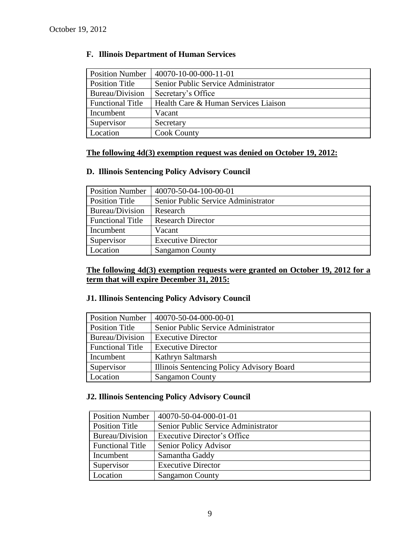| <b>Position Number</b>  | 40070-10-00-000-11-01                |
|-------------------------|--------------------------------------|
| <b>Position Title</b>   | Senior Public Service Administrator  |
| Bureau/Division         | Secretary's Office                   |
| <b>Functional Title</b> | Health Care & Human Services Liaison |
| Incumbent               | Vacant                               |
| Supervisor              | Secretary                            |
| Location                | <b>Cook County</b>                   |

# **F. Illinois Department of Human Services**

# **The following 4d(3) exemption request was denied on October 19, 2012:**

# **D. Illinois Sentencing Policy Advisory Council**

| <b>Position Number</b>  | 40070-50-04-100-00-01               |
|-------------------------|-------------------------------------|
| <b>Position Title</b>   | Senior Public Service Administrator |
| Bureau/Division         | Research                            |
| <b>Functional Title</b> | <b>Research Director</b>            |
| Incumbent               | Vacant                              |
| Supervisor              | <b>Executive Director</b>           |
| Location                | <b>Sangamon County</b>              |

# **The following 4d(3) exemption requests were granted on October 19, 2012 for a term that will expire December 31, 2015:**

## **J1. Illinois Sentencing Policy Advisory Council**

| <b>Position Number</b>  | 40070-50-04-000-00-01                     |
|-------------------------|-------------------------------------------|
| <b>Position Title</b>   | Senior Public Service Administrator       |
| Bureau/Division         | <b>Executive Director</b>                 |
| <b>Functional Title</b> | <b>Executive Director</b>                 |
| Incumbent               | Kathryn Saltmarsh                         |
| Supervisor              | Illinois Sentencing Policy Advisory Board |
| Location                | <b>Sangamon County</b>                    |

# **J2. Illinois Sentencing Policy Advisory Council**

| <b>Position Number</b>  | 40070-50-04-000-01-01               |
|-------------------------|-------------------------------------|
| Position Title          | Senior Public Service Administrator |
| Bureau/Division         | <b>Executive Director's Office</b>  |
| <b>Functional Title</b> | Senior Policy Advisor               |
| Incumbent               | Samantha Gaddy                      |
| Supervisor              | <b>Executive Director</b>           |
| Location                | <b>Sangamon County</b>              |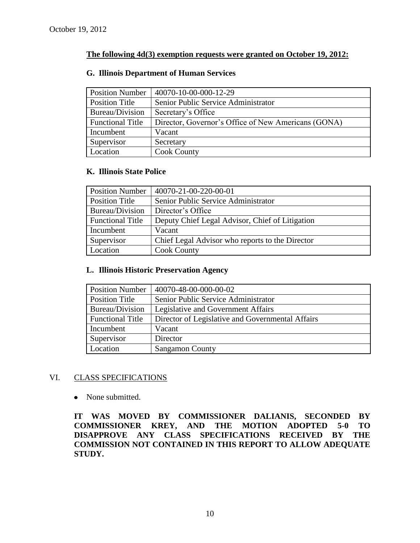# **The following 4d(3) exemption requests were granted on October 19, 2012:**

#### **G. Illinois Department of Human Services**

| <b>Position Number</b>  | 40070-10-00-000-12-29                               |
|-------------------------|-----------------------------------------------------|
| Position Title          | Senior Public Service Administrator                 |
| Bureau/Division         | Secretary's Office                                  |
| <b>Functional Title</b> | Director, Governor's Office of New Americans (GONA) |
| Incumbent               | Vacant                                              |
| Supervisor              | Secretary                                           |
| Location                | <b>Cook County</b>                                  |

## **K. Illinois State Police**

| <b>Position Number</b>  | 40070-21-00-220-00-01                           |
|-------------------------|-------------------------------------------------|
| <b>Position Title</b>   | Senior Public Service Administrator             |
| Bureau/Division         | Director's Office                               |
| <b>Functional Title</b> | Deputy Chief Legal Advisor, Chief of Litigation |
| Incumbent               | Vacant                                          |
| Supervisor              | Chief Legal Advisor who reports to the Director |
| Location                | <b>Cook County</b>                              |

#### **L. Illinois Historic Preservation Agency**

| <b>Position Number</b>  | 40070-48-00-000-00-02                            |
|-------------------------|--------------------------------------------------|
| Position Title          | Senior Public Service Administrator              |
| Bureau/Division         | Legislative and Government Affairs               |
| <b>Functional Title</b> | Director of Legislative and Governmental Affairs |
| Incumbent               | Vacant                                           |
| Supervisor              | Director                                         |
| Location                | <b>Sangamon County</b>                           |

# VI. CLASS SPECIFICATIONS

• None submitted.

**IT WAS MOVED BY COMMISSIONER DALIANIS, SECONDED BY COMMISSIONER KREY, AND THE MOTION ADOPTED 5-0 TO DISAPPROVE ANY CLASS SPECIFICATIONS RECEIVED BY THE COMMISSION NOT CONTAINED IN THIS REPORT TO ALLOW ADEQUATE STUDY.**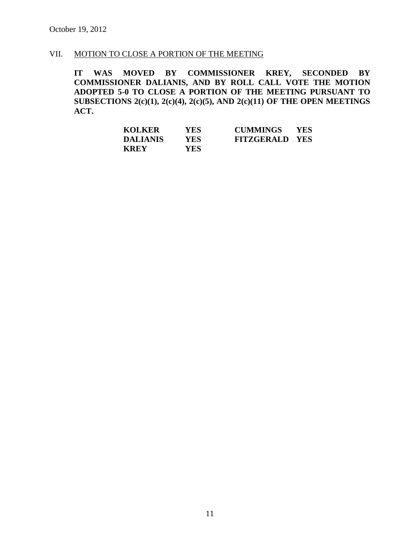# VII. MOTION TO CLOSE A PORTION OF THE MEETING

**IT WAS MOVED BY COMMISSIONER KREY, SECONDED BY COMMISSIONER DALIANIS, AND BY ROLL CALL VOTE THE MOTION ADOPTED 5-0 TO CLOSE A PORTION OF THE MEETING PURSUANT TO SUBSECTIONS 2(c)(1), 2(c)(4), 2(c)(5), AND 2(c)(11) OF THE OPEN MEETINGS ACT.**

| <b>KOLKER</b>   | <b>YES</b> | <b>CUMMINGS</b>       | <b>YES</b> |
|-----------------|------------|-----------------------|------------|
| <b>DALIANIS</b> | YES.       | <b>FITZGERALD YES</b> |            |
| <b>KREY</b>     | <b>YES</b> |                       |            |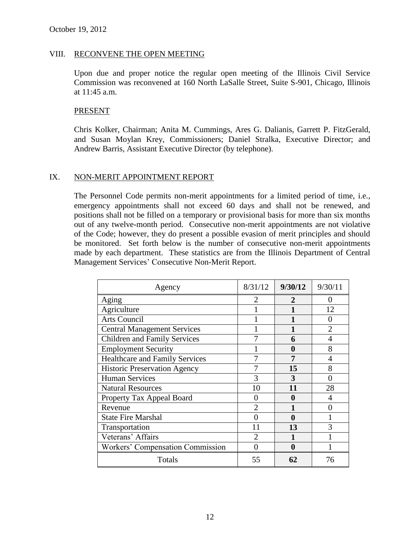#### VIII. RECONVENE THE OPEN MEETING

Upon due and proper notice the regular open meeting of the Illinois Civil Service Commission was reconvened at 160 North LaSalle Street, Suite S-901, Chicago, Illinois at 11:45 a.m.

#### PRESENT

Chris Kolker, Chairman; Anita M. Cummings, Ares G. Dalianis, Garrett P. FitzGerald, and Susan Moylan Krey, Commissioners; Daniel Stralka, Executive Director; and Andrew Barris, Assistant Executive Director (by telephone).

## IX. NON-MERIT APPOINTMENT REPORT

The Personnel Code permits non-merit appointments for a limited period of time, i.e., emergency appointments shall not exceed 60 days and shall not be renewed, and positions shall not be filled on a temporary or provisional basis for more than six months out of any twelve-month period. Consecutive non-merit appointments are not violative of the Code; however, they do present a possible evasion of merit principles and should be monitored. Set forth below is the number of consecutive non-merit appointments made by each department. These statistics are from the Illinois Department of Central Management Services' Consecutive Non-Merit Report.

| Agency                                | 8/31/12        | 9/30/12 | 9/30/11           |
|---------------------------------------|----------------|---------|-------------------|
| Aging                                 | $\overline{2}$ | 2       | 0                 |
| Agriculture                           |                |         | 12                |
| Arts Council                          |                |         | $\mathbf{\Omega}$ |
| <b>Central Management Services</b>    |                |         | $\overline{2}$    |
| <b>Children and Family Services</b>   |                | 6       | $\overline{4}$    |
| <b>Employment Security</b>            |                | 0       | 8                 |
| <b>Healthcare and Family Services</b> |                |         |                   |
| <b>Historic Preservation Agency</b>   |                | 15      | 8                 |
| <b>Human Services</b>                 | 3              | 3       |                   |
| <b>Natural Resources</b>              | 10             | 11      | 28                |
| Property Tax Appeal Board             | 0              | 0       | 4                 |
| Revenue                               | $\overline{2}$ |         |                   |
| <b>State Fire Marshal</b>             |                | 0       |                   |
| Transportation                        | 11             | 13      | 3                 |
| Veterans' Affairs                     | $\overline{2}$ |         |                   |
| Workers' Compensation Commission      | 0              | 0       |                   |
| Totals                                | 55             | 62      | 76                |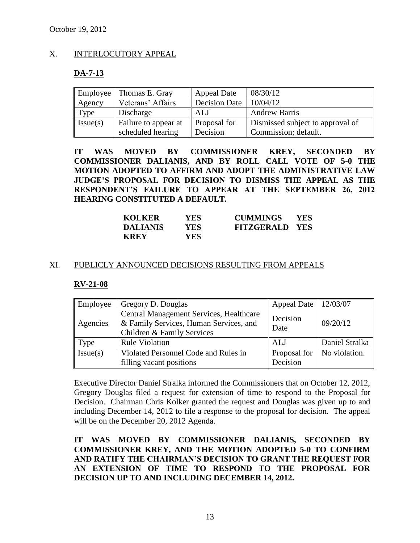## X. INTERLOCUTORY APPEAL

# **DA-7-13**

| Employee | Thomas E. Gray       | <b>Appeal Date</b>   | 08/30/12                         |
|----------|----------------------|----------------------|----------------------------------|
| Agency   | Veterans' Affairs    | <b>Decision Date</b> | 10/04/12                         |
| Type     | Discharge            | ALJ                  | <b>Andrew Barris</b>             |
| Issue(s) | Failure to appear at | Proposal for         | Dismissed subject to approval of |
|          | scheduled hearing    | Decision             | Commission; default.             |

**IT WAS MOVED BY COMMISSIONER KREY, SECONDED BY COMMISSIONER DALIANIS, AND BY ROLL CALL VOTE OF 5-0 THE MOTION ADOPTED TO AFFIRM AND ADOPT THE ADMINISTRATIVE LAW JUDGE'S PROPOSAL FOR DECISION TO DISMISS THE APPEAL AS THE RESPONDENT'S FAILURE TO APPEAR AT THE SEPTEMBER 26, 2012 HEARING CONSTITUTED A DEFAULT.**

| <b>KOLKER</b>   | YES ! | <b>CUMMINGS</b>       | <b>YES</b> |
|-----------------|-------|-----------------------|------------|
| <b>DALIANIS</b> | YES   | <b>FITZGERALD YES</b> |            |
| <b>KREY</b>     | YES-  |                       |            |

## XI. PUBLICLY ANNOUNCED DECISIONS RESULTING FROM APPEALS

## **RV-21-08**

| Employee | Gregory D. Douglas                                                                                              | <b>Appeal Date</b>       | 12/03/07       |
|----------|-----------------------------------------------------------------------------------------------------------------|--------------------------|----------------|
| Agencies | Central Management Services, Healthcare<br>& Family Services, Human Services, and<br>Children & Family Services | Decision<br>Date         | 09/20/12       |
| Type     | <b>Rule Violation</b>                                                                                           | ALJ                      | Daniel Stralka |
| Issue(s) | Violated Personnel Code and Rules in<br>filling vacant positions                                                | Proposal for<br>Decision | No violation.  |

Executive Director Daniel Stralka informed the Commissioners that on October 12, 2012, Gregory Douglas filed a request for extension of time to respond to the Proposal for Decision. Chairman Chris Kolker granted the request and Douglas was given up to and including December 14, 2012 to file a response to the proposal for decision. The appeal will be on the December 20, 2012 Agenda.

**IT WAS MOVED BY COMMISSIONER DALIANIS, SECONDED BY COMMISSIONER KREY, AND THE MOTION ADOPTED 5-0 TO CONFIRM AND RATIFY THE CHAIRMAN'S DECISION TO GRANT THE REQUEST FOR AN EXTENSION OF TIME TO RESPOND TO THE PROPOSAL FOR DECISION UP TO AND INCLUDING DECEMBER 14, 2012.**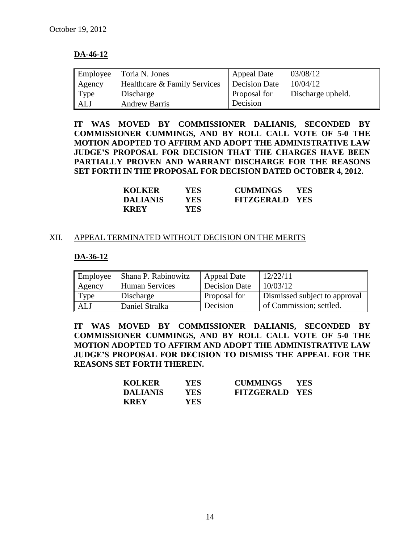# **DA-46-12**

| Employee | Toria N. Jones               | <b>Appeal Date</b>   | 03/08/12          |
|----------|------------------------------|----------------------|-------------------|
| Agency   | Healthcare & Family Services | <b>Decision Date</b> | 10/04/12          |
| Type     | Discharge                    | Proposal for         | Discharge upheld. |
| ALJ      | <b>Andrew Barris</b>         | Decision             |                   |

**IT WAS MOVED BY COMMISSIONER DALIANIS, SECONDED BY COMMISSIONER CUMMINGS, AND BY ROLL CALL VOTE OF 5-0 THE MOTION ADOPTED TO AFFIRM AND ADOPT THE ADMINISTRATIVE LAW JUDGE'S PROPOSAL FOR DECISION THAT THE CHARGES HAVE BEEN PARTIALLY PROVEN AND WARRANT DISCHARGE FOR THE REASONS SET FORTH IN THE PROPOSAL FOR DECISION DATED OCTOBER 4, 2012.**

| <b>KOLKER</b>   | YES.       | <b>CUMMINGS</b>       | <b>YES</b> |
|-----------------|------------|-----------------------|------------|
| <b>DALIANIS</b> | YES.       | <b>FITZGERALD YES</b> |            |
| <b>KREY</b>     | <b>YES</b> |                       |            |

#### XII. APPEAL TERMINATED WITHOUT DECISION ON THE MERITS

#### **DA-36-12**

| Employee | Shana P. Rabinowitz   | <b>Appeal Date</b>  | 12/22/11                      |
|----------|-----------------------|---------------------|-------------------------------|
| Agency   | <b>Human Services</b> | Decision Date       | 10/03/12                      |
| Type     | Discharge             | <b>Proposal for</b> | Dismissed subject to approval |
| ALJ      | <b>Daniel Stralka</b> | Decision            | of Commission; settled.       |

**IT WAS MOVED BY COMMISSIONER DALIANIS, SECONDED BY COMMISSIONER CUMMINGS, AND BY ROLL CALL VOTE OF 5-0 THE MOTION ADOPTED TO AFFIRM AND ADOPT THE ADMINISTRATIVE LAW JUDGE'S PROPOSAL FOR DECISION TO DISMISS THE APPEAL FOR THE REASONS SET FORTH THEREIN.**

| <b>KOLKER</b>   | YES ! | <b>CUMMINGS</b>       | <b>YES</b> |
|-----------------|-------|-----------------------|------------|
| <b>DALIANIS</b> | YES-  | <b>FITZGERALD YES</b> |            |
| <b>KREY</b>     | YES   |                       |            |